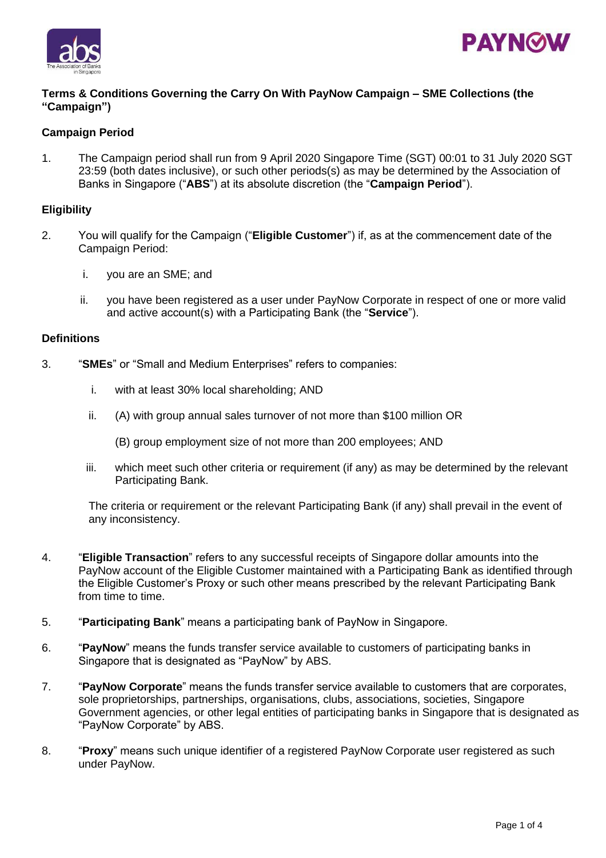



### **Terms & Conditions Governing the Carry On With PayNow Campaign – SME Collections (the "Campaign")**

## **Campaign Period**

1. The Campaign period shall run from 9 April 2020 Singapore Time (SGT) 00:01 to 31 July 2020 SGT 23:59 (both dates inclusive), or such other periods(s) as may be determined by the Association of Banks in Singapore ("**ABS**") at its absolute discretion (the "**Campaign Period**").

#### **Eligibility**

- 2. You will qualify for the Campaign ("**Eligible Customer**") if, as at the commencement date of the Campaign Period:
	- i. you are an SME; and
	- ii. you have been registered as a user under PayNow Corporate in respect of one or more valid and active account(s) with a Participating Bank (the "**Service**").

#### **Definitions**

- 3. "**SMEs**" or "Small and Medium Enterprises" refers to companies:
	- i. with at least 30% local shareholding; AND
	- ii. (A) with group annual sales turnover of not more than \$100 million OR
		- (B) group employment size of not more than 200 employees; AND
	- iii. which meet such other criteria or requirement (if any) as may be determined by the relevant Participating Bank.

The criteria or requirement or the relevant Participating Bank (if any) shall prevail in the event of any inconsistency.

- 4. "**Eligible Transaction**" refers to any successful receipts of Singapore dollar amounts into the PayNow account of the Eligible Customer maintained with a Participating Bank as identified through the Eligible Customer's Proxy or such other means prescribed by the relevant Participating Bank from time to time.
- 5. "**Participating Bank**" means a participating bank of PayNow in Singapore.
- 6. "**PayNow**" means the funds transfer service available to customers of participating banks in Singapore that is designated as "PayNow" by ABS.
- 7. "**PayNow Corporate**" means the funds transfer service available to customers that are corporates, sole proprietorships, partnerships, organisations, clubs, associations, societies, Singapore Government agencies, or other legal entities of participating banks in Singapore that is designated as "PayNow Corporate" by ABS.
- 8. "**Proxy**" means such unique identifier of a registered PayNow Corporate user registered as such under PayNow.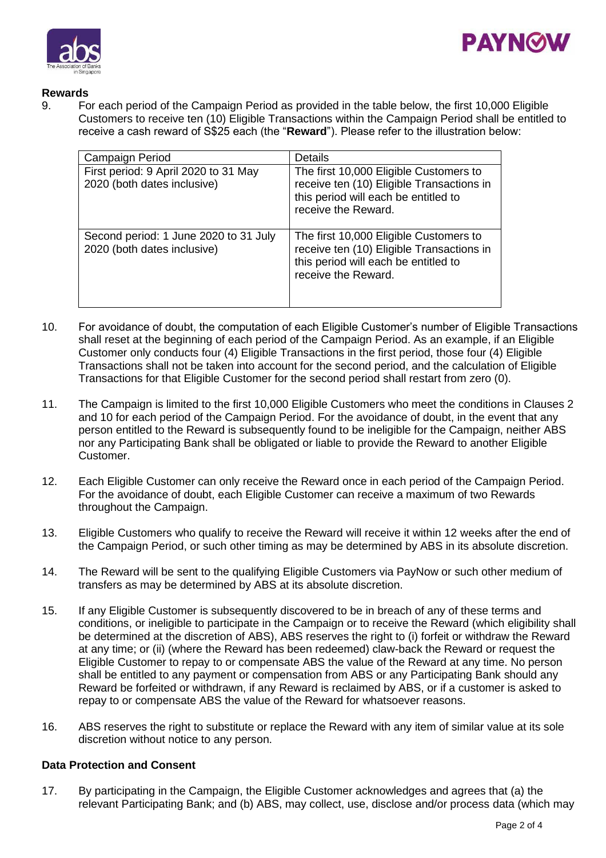



## **Rewards**

9. For each period of the Campaign Period as provided in the table below, the first 10,000 Eligible Customers to receive ten (10) Eligible Transactions within the Campaign Period shall be entitled to receive a cash reward of S\$25 each (the "**Reward**"). Please refer to the illustration below:

| Campaign Period                                                      | <b>Details</b>                                                                                                                                     |
|----------------------------------------------------------------------|----------------------------------------------------------------------------------------------------------------------------------------------------|
| First period: 9 April 2020 to 31 May<br>2020 (both dates inclusive)  | The first 10,000 Eligible Customers to<br>receive ten (10) Eligible Transactions in<br>this period will each be entitled to<br>receive the Reward. |
| Second period: 1 June 2020 to 31 July<br>2020 (both dates inclusive) | The first 10,000 Eligible Customers to<br>receive ten (10) Eligible Transactions in<br>this period will each be entitled to<br>receive the Reward. |

- 10. For avoidance of doubt, the computation of each Eligible Customer's number of Eligible Transactions shall reset at the beginning of each period of the Campaign Period. As an example, if an Eligible Customer only conducts four (4) Eligible Transactions in the first period, those four (4) Eligible Transactions shall not be taken into account for the second period, and the calculation of Eligible Transactions for that Eligible Customer for the second period shall restart from zero (0).
- 11. The Campaign is limited to the first 10,000 Eligible Customers who meet the conditions in Clauses 2 and 10 for each period of the Campaign Period. For the avoidance of doubt, in the event that any person entitled to the Reward is subsequently found to be ineligible for the Campaign, neither ABS nor any Participating Bank shall be obligated or liable to provide the Reward to another Eligible Customer.
- 12. Each Eligible Customer can only receive the Reward once in each period of the Campaign Period. For the avoidance of doubt, each Eligible Customer can receive a maximum of two Rewards throughout the Campaign.
- 13. Eligible Customers who qualify to receive the Reward will receive it within 12 weeks after the end of the Campaign Period, or such other timing as may be determined by ABS in its absolute discretion.
- 14. The Reward will be sent to the qualifying Eligible Customers via PayNow or such other medium of transfers as may be determined by ABS at its absolute discretion.
- 15. If any Eligible Customer is subsequently discovered to be in breach of any of these terms and conditions, or ineligible to participate in the Campaign or to receive the Reward (which eligibility shall be determined at the discretion of ABS), ABS reserves the right to (i) forfeit or withdraw the Reward at any time; or (ii) (where the Reward has been redeemed) claw-back the Reward or request the Eligible Customer to repay to or compensate ABS the value of the Reward at any time. No person shall be entitled to any payment or compensation from ABS or any Participating Bank should any Reward be forfeited or withdrawn, if any Reward is reclaimed by ABS, or if a customer is asked to repay to or compensate ABS the value of the Reward for whatsoever reasons.
- 16. ABS reserves the right to substitute or replace the Reward with any item of similar value at its sole discretion without notice to any person.

# **Data Protection and Consent**

17. By participating in the Campaign, the Eligible Customer acknowledges and agrees that (a) the relevant Participating Bank; and (b) ABS, may collect, use, disclose and/or process data (which may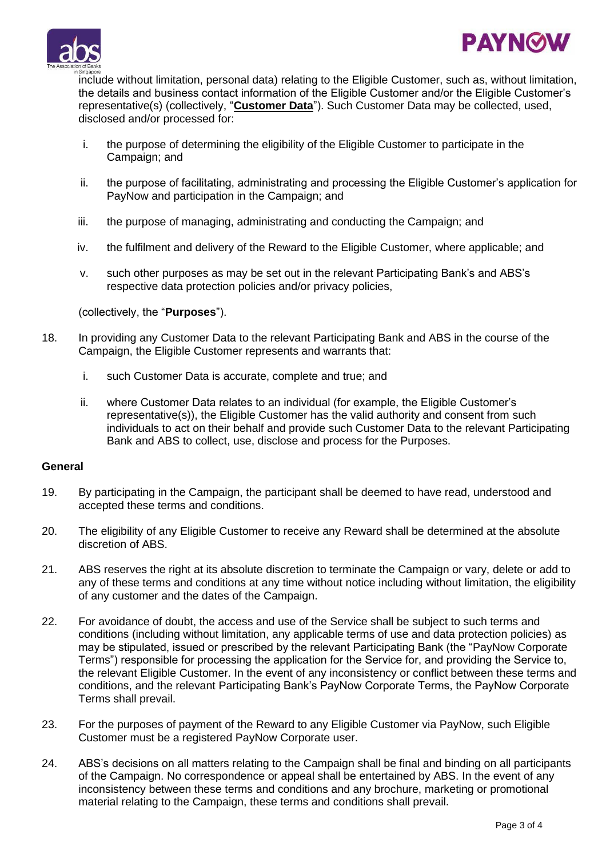



include without limitation, personal data) relating to the Eligible Customer, such as, without limitation, the details and business contact information of the Eligible Customer and/or the Eligible Customer's representative(s) (collectively, "**Customer Data**"). Such Customer Data may be collected, used, disclosed and/or processed for:

- i. the purpose of determining the eligibility of the Eligible Customer to participate in the Campaign; and
- ii. the purpose of facilitating, administrating and processing the Eligible Customer's application for PayNow and participation in the Campaign; and
- iii. the purpose of managing, administrating and conducting the Campaign; and
- iv. the fulfilment and delivery of the Reward to the Eligible Customer, where applicable; and
- v. such other purposes as may be set out in the relevant Participating Bank's and ABS's respective data protection policies and/or privacy policies,

(collectively, the "**Purposes**").

- 18. In providing any Customer Data to the relevant Participating Bank and ABS in the course of the Campaign, the Eligible Customer represents and warrants that:
	- i. such Customer Data is accurate, complete and true; and
	- ii. where Customer Data relates to an individual (for example, the Eligible Customer's representative(s)), the Eligible Customer has the valid authority and consent from such individuals to act on their behalf and provide such Customer Data to the relevant Participating Bank and ABS to collect, use, disclose and process for the Purposes.

#### **General**

- 19. By participating in the Campaign, the participant shall be deemed to have read, understood and accepted these terms and conditions.
- 20. The eligibility of any Eligible Customer to receive any Reward shall be determined at the absolute discretion of ABS.
- 21. ABS reserves the right at its absolute discretion to terminate the Campaign or vary, delete or add to any of these terms and conditions at any time without notice including without limitation, the eligibility of any customer and the dates of the Campaign.
- 22. For avoidance of doubt, the access and use of the Service shall be subject to such terms and conditions (including without limitation, any applicable terms of use and data protection policies) as may be stipulated, issued or prescribed by the relevant Participating Bank (the "PayNow Corporate Terms") responsible for processing the application for the Service for, and providing the Service to, the relevant Eligible Customer. In the event of any inconsistency or conflict between these terms and conditions, and the relevant Participating Bank's PayNow Corporate Terms, the PayNow Corporate Terms shall prevail.
- 23. For the purposes of payment of the Reward to any Eligible Customer via PayNow, such Eligible Customer must be a registered PayNow Corporate user.
- 24. ABS's decisions on all matters relating to the Campaign shall be final and binding on all participants of the Campaign. No correspondence or appeal shall be entertained by ABS. In the event of any inconsistency between these terms and conditions and any brochure, marketing or promotional material relating to the Campaign, these terms and conditions shall prevail.